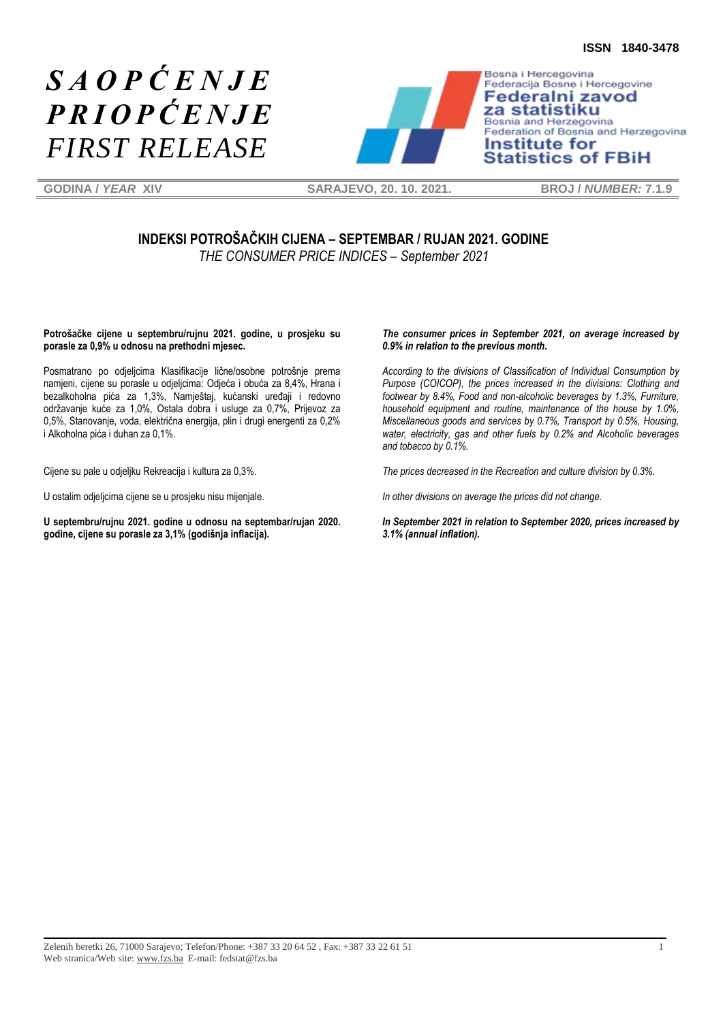# *S A O P Ć E N J E P R I O P Ć E N J E FIRST RELEASE*



Federacija Bosne i Hercegovine Federalni zavod za statistiku Bosnia and Herzegovina Federation of Bosnia and Herzegovina **Institute for Statistics of FBiH** 

**GODINA /** *YEAR* **XIV SARAJEVO, 20. 10. 2021. BROJ /** *NUMBER:* **7.1.9**

## **INDEKSI POTROŠAČKIH CIJENA – SEPTEMBAR / RUJAN 2021. GODINE** *THE CONSUMER PRICE INDICES – September 2021*

**Potrošačke cijene u septembru/rujnu 2021. godine, u prosjeku su porasle za 0,9% u odnosu na prethodni mjesec.**

Posmatrano po odjeljcima Klasifikacije lične/osobne potrošnje prema namjeni, cijene su porasle u odjeljcima: Odjeća i obuća za 8,4%, Hrana i bezalkoholna pića za 1,3%, Namještaj, kućanski uređaji i redovno održavanje kuće za 1,0%, Ostala dobra i usluge za 0,7%, Prijevoz za 0,5%, Stanovanje, voda, električna energija, plin i drugi energenti za 0,2% i Alkoholna pića i duhan za 0,1%.

Cijene su pale u odjeljku Rekreacija i kultura za 0,3%.

U ostalim odjeljcima cijene se u prosjeku nisu mijenjale.

**U septembru/rujnu 2021. godine u odnosu na septembar/rujan 2020. godine, cijene su porasle za 3,1% (godišnja inflacija).** 

#### *The consumer prices in September 2021, on average increased by 0.9% in relation to the previous month.*

*According to the divisions of Classification of Individual Consumption by Purpose (COICOP), the prices increased in the divisions: Clothing and footwear by 8.4%, Food and non-alcoholic beverages by 1.3%, Furniture, household equipment and routine, maintenance of the house by 1.0%, Miscellaneous goods and services by 0.7%, Transport by 0.5%, Housing, water, electricity, gas and other fuels by 0.2% and Alcoholic beverages and tobacco by 0.1%.*

*The prices decreased in the Recreation and culture division by 0.3%.*

*In other divisions on average the prices did not change.*

*In September 2021 in relation to September 2020, prices increased by 3.1% (annual inflation).*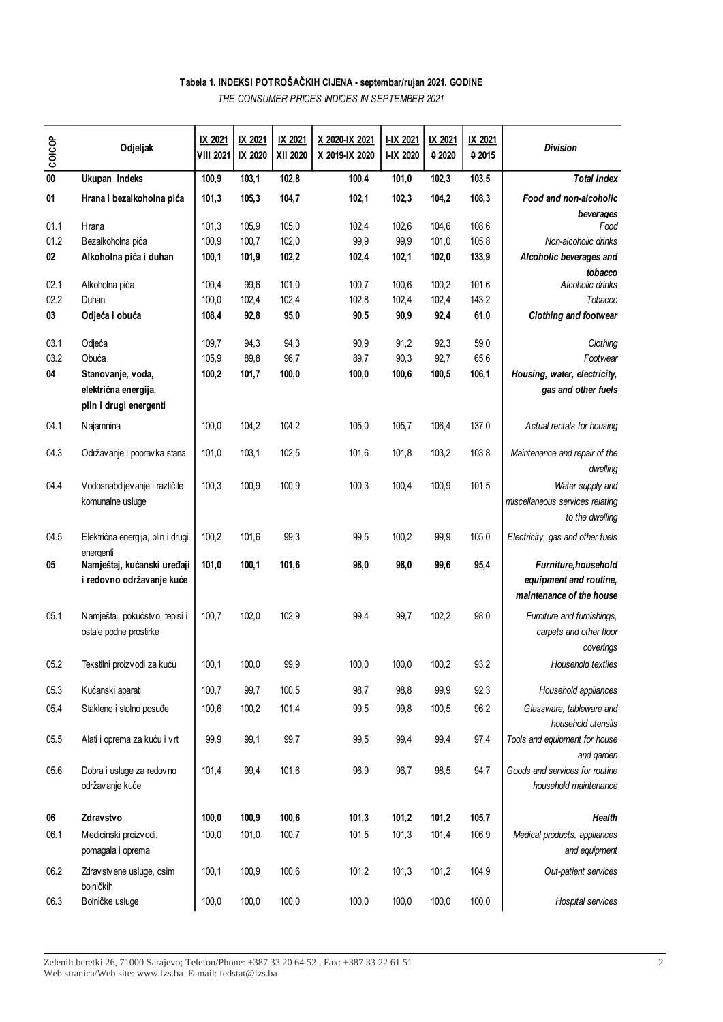## **Tabela 1. INDEKSI POTROŠAČKIH CIJENA - septembar/rujan 2021. GODINE**

*THE CONSUMER PRICES INDICES IN SEPTEMBER 2021* 

| coicop    | Odjeljak                                                 | IX 2021<br><b>VIII 2021</b> | IX 2021<br>IX 2020 | IX 2021<br>XII 2020 | X 2020-IX 2021<br>X 2019-IX 2020 | <b>I-IX 2021</b><br>I-IX 2020 | IX 2021<br>0 2020 | IX 2021<br>0 2015 | <b>Division</b>                                                    |
|-----------|----------------------------------------------------------|-----------------------------|--------------------|---------------------|----------------------------------|-------------------------------|-------------------|-------------------|--------------------------------------------------------------------|
| $\bf{00}$ | Ukupan Indeks                                            | 100,9                       | 103,1              | 102,8               | 100,4                            | 101,0                         | 102,3             | 103,5             | <b>Total Index</b>                                                 |
| 01        | Hrana i bezalkoholna pića                                | 101,3                       | 105,3              | 104,7               | 102,1                            | 102,3                         | 104,2             | 108,3             | Food and non-alcoholic                                             |
|           |                                                          |                             |                    |                     |                                  |                               |                   |                   | beverages                                                          |
| 01.1      | Hrana                                                    | 101,3                       | 105,9              | 105,0               | 102,4                            | 102,6                         | 104,6             | 108,6             | Food                                                               |
| 01.2      | Bezalkoholna pića                                        | 100,9                       | 100,7              | 102,0               | 99,9                             | 99,9                          | 101,0             | 105,8             | Non-alcoholic drinks                                               |
| 02        | Alkoholna pića i duhan                                   | 100,1                       | 101,9              | 102,2               | 102,4                            | 102,1                         | 102,0             | 133,9             | Alcoholic beverages and                                            |
| 02.1      | Alkoholna pića                                           | 100,4                       | 99,6               | 101,0               | 100,7                            | 100,6                         | 100,2             | 101,6             | tobacco<br>Alcoholic drinks                                        |
| 02.2      | Duhan                                                    | 100,0                       | 102,4              | 102,4               | 102,8                            | 102,4                         | 102,4             | 143,2             | Tobacco                                                            |
| 03        | Odjeća i obuća                                           | 108,4                       | 92,8               | 95,0                | 90,5                             | 90,9                          | 92,4              | 61,0              | Clothing and footwear                                              |
|           |                                                          |                             |                    |                     |                                  |                               |                   |                   |                                                                    |
| 03.1      | Odjeća                                                   | 109,7                       | 94,3               | 94,3                | 90,9                             | 91,2                          | 92,3              | 59,0              | Clothing                                                           |
| 03.2      | Obuća                                                    | 105,9                       | 89,8               | 96,7                | 89,7                             | 90,3                          | 92,7              | 65,6              | Footwear                                                           |
| 04        | Stanovanje, voda,                                        | 100,2                       | 101,7              | 100,0               | 100,0                            | 100,6                         | 100,5             | 106,1             | Housing, water, electricity,                                       |
|           | električna energija,<br>plin i drugi energenti           |                             |                    |                     |                                  |                               |                   |                   | gas and other fuels                                                |
| 04.1      | Najamnina                                                | 100,0                       | 104,2              | 104,2               | 105,0                            | 105,7                         | 106,4             | 137,0             | Actual rentals for housing                                         |
| 04.3      | Održavanje i popravka stana                              | 101,0                       | 103,1              | 102,5               | 101,6                            | 101,8                         | 103,2             | 103,8             | Maintenance and repair of the<br>dwelling                          |
| 04.4      | Vodosnabdijev anje i različite<br>komunalne usluge       | 100,3                       | 100,9              | 100,9               | 100,3                            | 100,4                         | 100,9             | 101,5             | Water supply and<br>miscellaneous services relating                |
| 04.5      | Električna energija, plin i drugi                        | 100,2                       | 101,6              | 99,3                | 99,5                             | 100,2                         | 99,9              | 105,0             | to the dwelling<br>Electricity, gas and other fuels                |
| 05        | energenti<br>Namještaj, kućanski uređaji                 | 101,0                       | 100,1              | 101,6               | 98,0                             | 98,0                          | 99,6              | 95,4              | Furniture, household                                               |
|           | i redovno održavanje kuće                                |                             |                    |                     |                                  |                               |                   |                   | equipment and routine,<br>maintenance of the house                 |
| 05.1      | Namještaj, pokućstvo, tepisi i<br>ostale podne prostirke | 100,7                       | 102,0              | 102,9               | 99,4                             | 99,7                          | 102,2             | 98,0              | Furniture and furnishings,<br>carpets and other floor<br>coverings |
| 05.2      | Tekstilni proizvodi za kuću                              | 100,1                       | 100,0              | 99,9                | 100,0                            | 100,0                         | 100,2             | 93,2              | Household textiles                                                 |
| 05.3      | Kućanski aparati                                         | 100,7                       | 99,7               | 100,5               | 98,7                             | 98,8                          | 99,9              | 92,3              | Household appliances                                               |
| 05.4      | Stakleno i stolno posuđe                                 | 100,6                       | 100,2              | 101,4               | 99,5                             | 99,8                          | 100,5             | 96,2              | Glassware, tableware and<br>household utensils                     |
| 05.5      | Alati i oprema za kuću i vrt                             | 99,9                        | 99,1               | 99,7                | 99,5                             | 99,4                          | 99,4              | 97,4              | Tools and equipment for house<br>and garden                        |
| 05.6      | Dobra i usluge za redovno<br>održav anje kuće            | 101,4                       | 99,4               | 101,6               | 96,9                             | 96,7                          | 98,5              | 94,7              | Goods and services for routine<br>household maintenance            |
| 06        | Zdravstvo                                                | 100,0                       | 100,9              | 100,6               | 101,3                            | 101,2                         | 101,2             | 105,7             | Health                                                             |
| 06.1      | Medicinski proizvodi,<br>pomagala i oprema               | 100,0                       | 101,0              | 100,7               | 101,5                            | 101,3                         | 101,4             | 106,9             | Medical products, appliances<br>and equipment                      |
| 06.2      | Zdrav stv ene usluge, osim<br>bolničkih                  | 100,1                       | 100,9              | 100,6               | 101,2                            | 101,3                         | 101,2             | 104,9             | Out-patient services                                               |
| 06.3      | Bolničke usluge                                          | 100,0                       | 100,0              | 100,0               | 100,0                            | 100,0                         | 100,0             | 100,0             | Hospital services                                                  |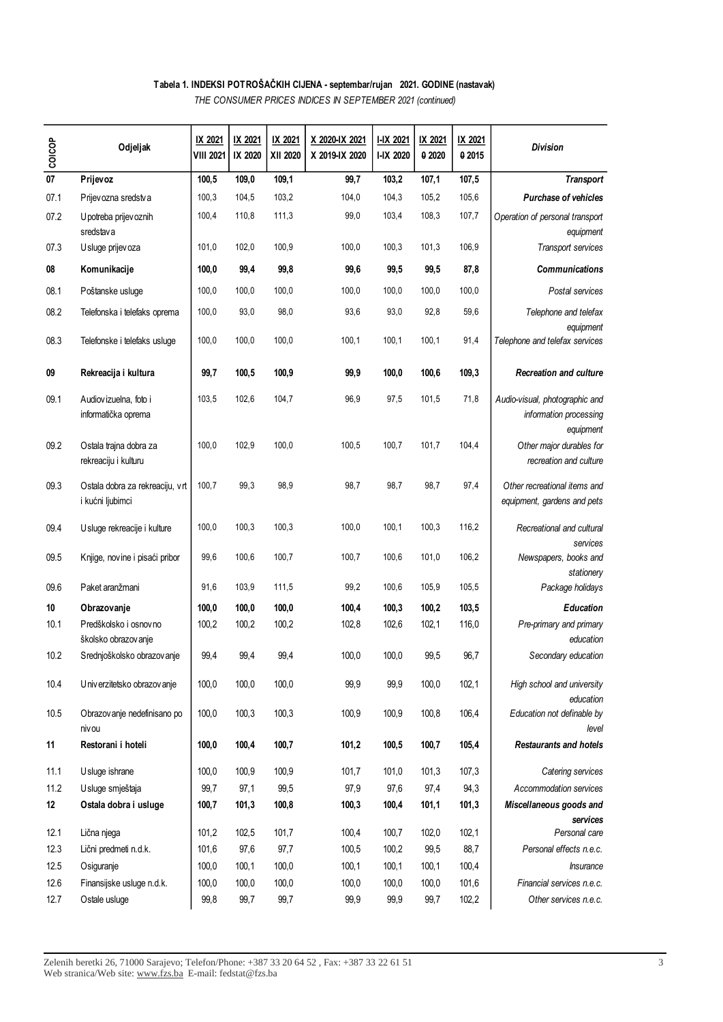# **Tabela 1. INDEKSI POTROŠAČKIH CIJENA - septembar/rujan 2021. GODINE (nastavak)**

*THE CONSUMER PRICES INDICES IN SEPTEMBER 2021 (continued)*

| coicop | Odjeljak                                            | IX 2021<br><b>VIII 2021</b> | IX 2021<br>IX 2020 | IX 2021<br>XII 2020 | X 2020-IX 2021<br>X 2019-IX 2020 | I-IX 2021<br>I-IX 2020 | IX 2021<br>0 20 20 | IX 2021<br>0 2015 | <b>Division</b>                                                       |
|--------|-----------------------------------------------------|-----------------------------|--------------------|---------------------|----------------------------------|------------------------|--------------------|-------------------|-----------------------------------------------------------------------|
| 07     | Prijevoz                                            | 100,5                       | 109,0              | 109,1               | 99,7                             | 103,2                  | 107,1              | 107,5             | <b>Transport</b>                                                      |
| 07.1   | Prijev ozna sredstva                                | 100,3                       | 104,5              | 103,2               | 104,0                            | 104,3                  | 105,2              | 105,6             | <b>Purchase of vehicles</b>                                           |
| 07.2   | U potreba prijev oznih<br>sredstava                 | 100,4                       | 110,8              | 111,3               | 99,0                             | 103,4                  | 108,3              | 107,7             | Operation of personal transport<br>equipment                          |
| 07.3   | U sluge prijev oza                                  | 101,0                       | 102,0              | 100,9               | 100,0                            | 100,3                  | 101,3              | 106,9             | Transport services                                                    |
| 08     | Komunikacije                                        | 100,0                       | 99,4               | 99,8                | 99,6                             | 99,5                   | 99,5               | 87,8              | <b>Communications</b>                                                 |
| 08.1   | Poštanske usluge                                    | 100,0                       | 100,0              | 100,0               | 100,0                            | 100,0                  | 100,0              | 100,0             | Postal services                                                       |
| 08.2   | Telefonska i telefaks oprema                        | 100,0                       | 93,0               | 98,0                | 93,6                             | 93,0                   | 92,8               | 59,6              | Telephone and telefax                                                 |
| 08.3   | Telefonske i telefaks usluge                        | 100,0                       | 100,0              | 100,0               | 100, 1                           | 100,1                  | 100,1              | 91,4              | equipment<br>Telephone and telefax services                           |
| 09     | Rekreacija i kultura                                | 99,7                        | 100,5              | 100,9               | 99,9                             | 100,0                  | 100,6              | 109,3             | <b>Recreation and culture</b>                                         |
| 09.1   | Audiovizuelna, foto i<br>informatička oprema        | 103,5                       | 102,6              | 104,7               | 96,9                             | 97,5                   | 101,5              | 71,8              | Audio-visual, photographic and<br>information processing<br>equipment |
| 09.2   | Ostala trajna dobra za<br>rekreaciju i kulturu      | 100,0                       | 102,9              | 100,0               | 100,5                            | 100,7                  | 101,7              | 104,4             | Other major durables for<br>recreation and culture                    |
| 09.3   | Ostala dobra za rekreaciju, vrt<br>i kućni ljubimci | 100,7                       | 99,3               | 98,9                | 98,7                             | 98,7                   | 98,7               | 97,4              | Other recreational items and<br>equipment, gardens and pets           |
| 09.4   | Usluge rekreacije i kulture                         | 100,0                       | 100,3              | 100,3               | 100,0                            | 100,1                  | 100,3              | 116,2             | Recreational and cultural<br>services                                 |
| 09.5   | Knjige, novine i pisaći pribor                      | 99,6                        | 100,6              | 100,7               | 100,7                            | 100,6                  | 101,0              | 106,2             | Newspapers, books and<br>stationery                                   |
| 09.6   | Paket aranžmani                                     | 91,6                        | 103,9              | 111,5               | 99,2                             | 100,6                  | 105,9              | 105,5             | Package holidays                                                      |
| 10     | Obrazovanje                                         | 100,0                       | 100,0              | 100,0               | 100,4                            | 100,3                  | 100,2              | 103,5             | <b>Education</b>                                                      |
| 10.1   | Predškolsko i osnovno<br>školsko obrazov anje       | 100,2                       | 100,2              | 100,2               | 102,8                            | 102,6                  | 102,1              | 116,0             | Pre-primary and primary<br>education                                  |
| 10.2   | Srednjoškolsko obrazov anje                         | 99,4                        | 99,4               | 99,4                | 100,0                            | 100,0                  | 99,5               | 96,7              | Secondary education                                                   |
| 10.4   | U niv erzitetsko obrazov anje                       | 100,0                       | 100,0              | 100,0               | 99,9                             | 99,9                   | 100,0              | 102,1             | High school and university<br>education                               |
| 10.5   | Obrazov anje nedefinisano po<br>niv ou              | 100,0                       | 100,3              | 100,3               | 100,9                            | 100,9                  | 100,8              | 106,4             | Education not definable by<br>level                                   |
| 11     | Restorani i hoteli                                  | 100,0                       | 100,4              | 100,7               | 101,2                            | 100, 5                 | 100,7              | 105,4             | <b>Restaurants and hotels</b>                                         |
| 11.1   | Usluge ishrane                                      | 100,0                       | 100,9              | 100,9               | 101,7                            | 101,0                  | 101,3              | 107,3             | Catering services                                                     |
| 11.2   | Usluge smještaja                                    | 99,7                        | 97,1               | 99,5                | 97,9                             | 97,6                   | 97,4               | 94,3              | Accommodation services                                                |
| 12     | Ostala dobra i usluge                               | 100,7                       | 101,3              | 100,8               | 100,3                            | 100,4                  | 101,1              | 101,3             | Miscellaneous goods and                                               |
| 12.1   | Lična njega                                         | 101,2                       | 102,5              | 101,7               | 100,4                            | 100,7                  | 102,0              | 102,1             | services<br>Personal care                                             |
| 12.3   | Lični predmeti n.d.k.                               | 101,6                       | 97,6               | 97,7                | 100,5                            | 100,2                  | 99,5               | 88,7              | Personal effects n.e.c.                                               |
| 12.5   | Osiguranje                                          | 100,0                       | 100,1              | 100,0               | 100, 1                           | 100,1                  | 100,1              | 100,4             | Insurance                                                             |
| 12.6   | Finansijske usluge n.d.k.                           | 100,0                       | 100,0              | 100,0               | 100,0                            | 100,0                  | 100,0              | 101,6             | Financial services n.e.c.                                             |
| 12.7   | Ostale usluge                                       | 99,8                        | 99,7               | 99,7                | 99,9                             | 99,9                   | 99,7               | 102,2             | Other services n.e.c.                                                 |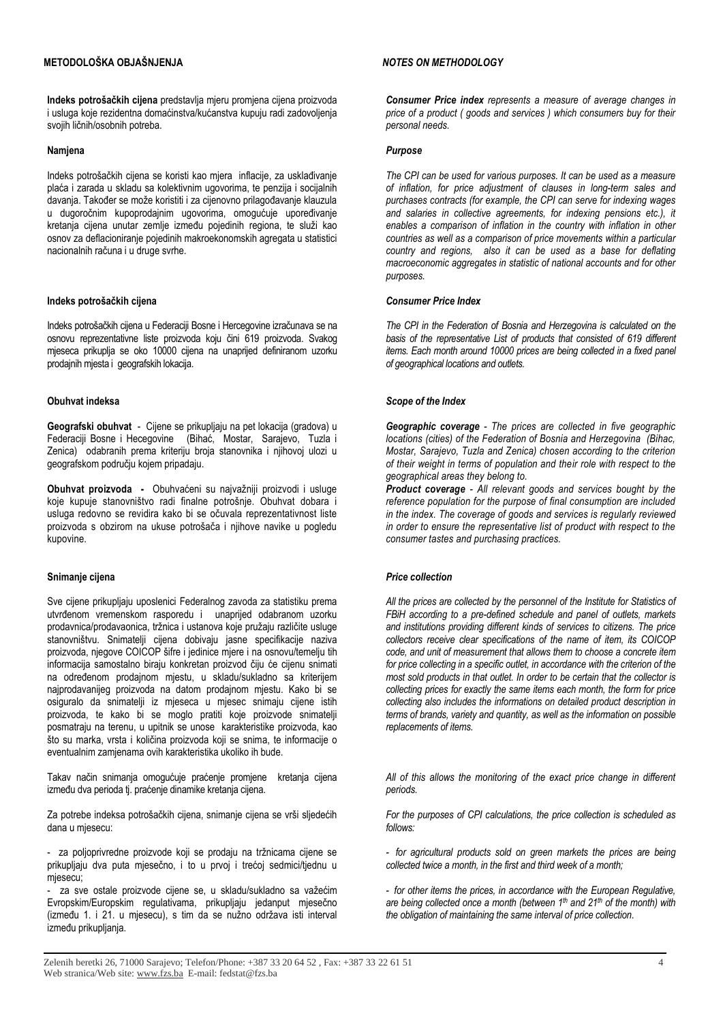### **METODOLOŠKA OBJAŠNJENJA**

**Indeks potrošačkih cijena** predstavlja mjeru promjena cijena proizvoda i usluga koje rezidentna domaćinstva/kućanstva kupuju radi zadovoljenja svojih ličnih/osobnih potreba.

#### **Namjena**

Indeks potrošačkih cijena se koristi kao mjera inflacije, za usklađivanje plaća i zarada u skladu sa kolektivnim ugovorima, te penzija i socijalnih davanja. Također se može koristiti i za cijenovno prilagođavanje klauzula u dugoročnim kupoprodajnim ugovorima, omogućuje upoređivanje kretanja cijena unutar zemlje između pojedinih regiona, te služi kao osnov za deflacioniranje pojedinih makroekonomskih agregata u statistici nacionalnih računa i u druge svrhe.

#### **Indeks potrošačkih cijena**

Indeks potrošačkih cijena u Federaciji Bosne i Hercegovine izračunava se na osnovu reprezentativne liste proizvoda koju čini 619 proizvoda. Svakog mjeseca prikuplja se oko 10000 cijena na unaprijed definiranom uzorku prodajnih mjesta i geografskih lokacija.

#### **Obuhvat indeksa**

**Geografski obuhvat** - Cijene se prikupljaju na pet lokacija (gradova) u Federaciji Bosne i Hecegovine (Bihać, Mostar, Sarajevo, Tuzla i Zenica) odabranih prema kriteriju broja stanovnika i njihovoj ulozi u geografskom području kojem pripadaju.

**Obuhvat proizvoda -** Obuhvaćeni su najvažniji proizvodi i usluge koje kupuje stanovništvo radi finalne potrošnje. Obuhvat dobara i usluga redovno se revidira kako bi se očuvala reprezentativnost liste proizvoda s obzirom na ukuse potrošača i njihove navike u pogledu kupovine.

#### **Snimanje cijena**

Sve cijene prikupljaju uposlenici Federalnog zavoda za statistiku prema utvrđenom vremenskom rasporedu i unaprijed odabranom uzorku prodavnica/prodavaonica, tržnica i ustanova koje pružaju različite usluge stanovništvu. Snimatelji cijena dobivaju jasne specifikacije naziva proizvoda, njegove COICOP šifre i jedinice mjere i na osnovu/temelju tih informacija samostalno biraju konkretan proizvod čiju će cijenu snimati na određenom prodajnom mjestu, u skladu/sukladno sa kriterijem najprodavanijeg proizvoda na datom prodajnom mjestu. Kako bi se osiguralo da snimatelji iz mjeseca u mjesec snimaju cijene istih proizvoda, te kako bi se moglo pratiti koje proizvode snimatelji posmatraju na terenu, u upitnik se unose karakteristike proizvoda, kao što su marka, vrsta i količina proizvoda koji se snima, te informacije o eventualnim zamjenama ovih karakteristika ukoliko ih bude.

Takav način snimanja omogućuje praćenje promjene kretanja cijena između dva perioda tj. praćenje dinamike kretanja cijena.

Za potrebe indeksa potrošačkih cijena, snimanje cijena se vrši sljedećih dana u miesecu:

- za poljoprivredne proizvode koji se prodaju na tržnicama cijene se prikupljaju dva puta mjesečno, i to u prvoj i trećoj sedmici/tjednu u mjesecu;

- za sve ostale proizvode cijene se, u skladu/sukladno sa važećim Evropskim/Europskim regulativama, prikupljaju jedanput mjesečno (između 1. i 21. u mjesecu), s tim da se nužno održava isti interval između prikupljanja.

#### *NOTES ON METHODOLOGY*

*Consumer Price index represents a measure of average changes in price of a product ( goods and services ) which consumers buy for their personal needs.* 

#### *Purpose*

*The CPI can be used for various purposes. It can be used as a measure of inflation, for price adjustment of clauses in long-term sales and purchases contracts (for example, the CPI can serve for indexing wages and salaries in collective agreements, for indexing pensions etc.), it*  enables a comparison of inflation in the country with inflation in other *countries as well as a comparison of price movements within a particular country and regions, also it can be used as a base for deflating macroeconomic aggregates in statistic of national accounts and for other purposes.*

#### *Consumer Price Index*

*The CPI in the Federation of Bosnia and Herzegovina is calculated on the basis of the representative List of products that consisted of 619 different items. Each month around 10000 prices are being collected in a fixed panel of geographical locations and outlets.* 

#### *Scope of the Index*

*Geographic coverage - The prices are collected in five geographic locations (cities) of the Federation of Bosnia and Herzegovina (Bihac, Mostar, Sarajevo, Tuzla and Zenica) chosen according to the criterion of their weight in terms of population and their role with respect to the geographical areas they belong to.* 

*Product coverage - All relevant goods and services bought by the reference population for the purpose of final consumption are included in the index. The coverage of goods and services is regularly reviewed in order to ensure the representative list of product with respect to the consumer tastes and purchasing practices.*

#### *Price collection*

*All the prices are collected by the personnel of the Institute for Statistics of FBiH according to a pre-defined schedule and panel of outlets, markets and institutions providing different kinds of services to citizens. The price collectors receive clear specifications of the name of item, its COICOP code, and unit of measurement that allows them to choose a concrete item for price collecting in a specific outlet, in accordance with the criterion of the most sold products in that outlet. In order to be certain that the collector is collecting prices for exactly the same items each month, the form for price collecting also includes the informations on detailed product description in terms of brands, variety and quantity, as well as the information on possible replacements of items.*

*All of this allows the monitoring of the exact price change in different periods.*

*For the purposes of CPI calculations, the price collection is scheduled as follows:*

*- for agricultural products sold on green markets the prices are being collected twice a month, in the first and third week of a month;* 

*- for other items the prices, in accordance with the European Regulative, are being collected once a month (between 1th and 21th of the month) with the obligation of maintaining the same interval of price collection.*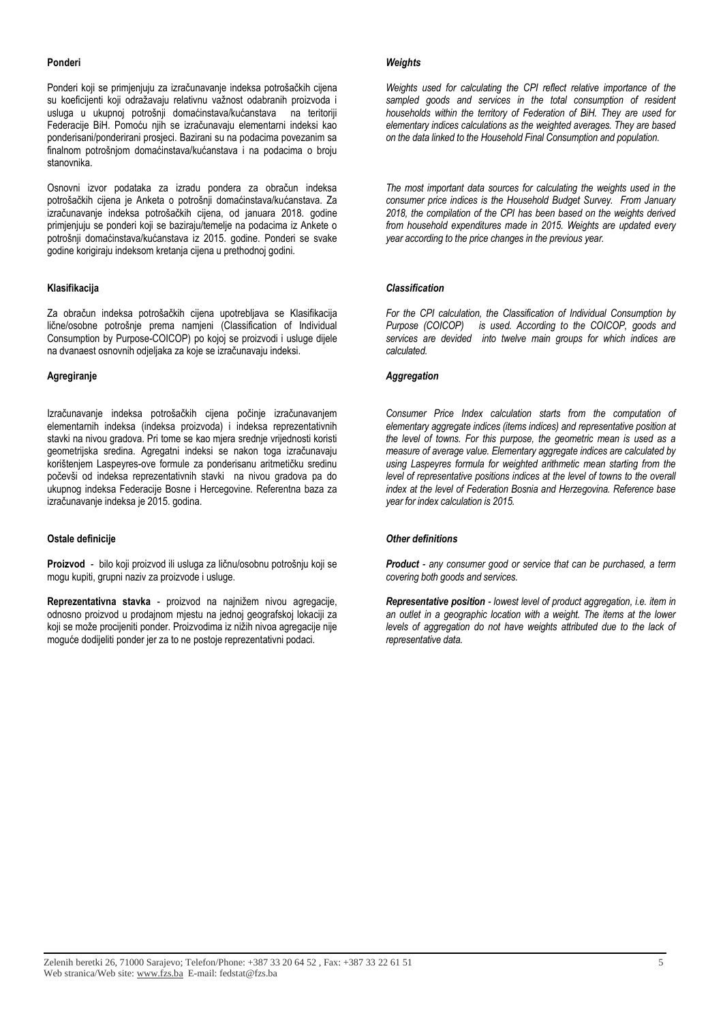#### **Ponderi**

Ponderi koji se primjenjuju za izračunavanje indeksa potrošačkih cijena su koeficijenti koji odražavaju relativnu važnost odabranih proizvoda i usluga u ukupnoj potrošnji domaćinstava/kućanstava na teritoriji Federacije BiH. Pomoću njih se izračunavaju elementarni indeksi kao ponderisani/ponderirani prosjeci. Bazirani su na podacima povezanim sa finalnom potrošnjom domaćinstava/kućanstava i na podacima o broju stanovnika.

Osnovni izvor podataka za izradu pondera za obračun indeksa potrošačkih cijena je Anketa o potrošnji domaćinstava/kućanstava. Za izračunavanje indeksa potrošačkih cijena, od januara 2018. godine primjenjuju se ponderi koji se baziraju/temelje na podacima iz Ankete o potrošnji domaćinstava/kućanstava iz 2015. godine. Ponderi se svake godine korigiraju indeksom kretanja cijena u prethodnoj godini.

#### **Klasifikacija**

Za obračun indeksa potrošačkih cijena upotrebljava se Klasifikacija lične/osobne potrošnje prema namjeni (Classification of Individual Consumption by Purpose-COICOP) po kojoj se proizvodi i usluge dijele na dvanaest osnovnih odjeljaka za koje se izračunavaju indeksi.

#### **Agregiranje**

Izračunavanje indeksa potrošačkih cijena počinje izračunavanjem elementarnih indeksa (indeksa proizvoda) i indeksa reprezentativnih stavki na nivou gradova. Pri tome se kao mjera srednje vrijednosti koristi geometrijska sredina. Agregatni indeksi se nakon toga izračunavaju korištenjem Laspeyres-ove formule za ponderisanu aritmetičku sredinu počevši od indeksa reprezentativnih stavki na nivou gradova pa do ukupnog indeksa Federacije Bosne i Hercegovine. Referentna baza za izračunavanje indeksa je 2015. godina.

#### **Ostale definicije**

**Proizvod** - bilo koji proizvod ili usluga za ličnu/osobnu potrošnju koji se mogu kupiti, grupni naziv za proizvode i usluge.

**Reprezentativna stavka** - proizvod na najnižem nivou agregacije, odnosno proizvod u prodajnom mjestu na jednoj geografskoj lokaciji za koji se može procijeniti ponder. Proizvodima iz nižih nivoa agregacije nije moguće dodijeliti ponder jer za to ne postoje reprezentativni podaci.

#### *Weights*

*Weights used for calculating the CPI reflect relative importance of the sampled goods and services in the total consumption of resident households within the territory of Federation of BiH. They are used for elementary indices calculations as the weighted averages. They are based on the data linked to the Household Final Consumption and population.* 

*The most important data sources for calculating the weights used in the consumer price indices is the Household Budget Survey. From January 2018, the compilation of the CPI has been based on the weights derived from household expenditures made in 2015. Weights are updated every year according to the price changes in the previous year.* 

#### *Classification*

*For the CPI calculation, the Classification of Individual Consumption by Purpose (COICOP) is used. According to the COICOP, goods and services are devided into twelve main groups for which indices are calculated.*

#### *Aggregation*

*Consumer Price Index calculation starts from the computation of elementary aggregate indices (items indices) and representative position at the level of towns. For this purpose, the geometric mean is used as a measure of average value. Elementary aggregate indices are calculated by using Laspeyres formula for weighted arithmetic mean starting from the level of representative positions indices at the level of towns to the overall index at the level of Federation Bosnia and Herzegovina. Reference base year for index calculation is 2015.* 

#### *Other definitions*

*Product - any consumer good or service that can be purchased, a term covering both goods and services.*

*Representative position - lowest level of product aggregation, i.e. item in an outlet in a geographic location with a weight. The items at the lower levels of aggregation do not have weights attributed due to the lack of representative data.*